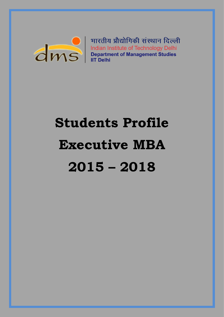

भारतीय प्रौद्योगिकी संस्थान दिल्ली HIRCHELINGER HELINGER HELINGER HELINGER HELINGER HELINGER HELINGER HELINGER HELINGER HELINGER HELINGER HELINGER HELINGER HELINGER HELINGER HELINGER HELINGER HELINGER HELINGER HELINGER HELINGER HELINGER HELINGER HELINGER HE

# **Students Profile Executive MBA 2015 – 2018**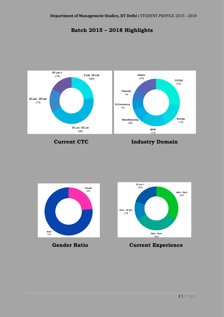



# **Current CTC Industry Domain**



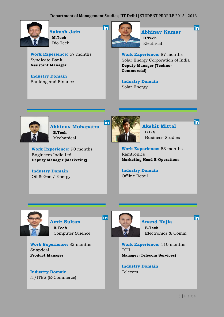**in** 



 **Aakash Jain M.Tech** Bio Tech

**Work Experience:** 57 months Syndicate Bank **Assistant Manager**

**Industry Domain** Banking and Finance



 **Abhinav Kumar B.Tech** Electrical

linl

linl

linl

**Work Experience:** 87 months Solar Energy Corporation of India **Deputy Manager (Techno-Commercial)**

**Industry Domain** Solar Energy



 **Abhinav Mohapatra B.Tech** Mechanical

**Work Experience:** 90 months Engineers India Ltd. **Deputy Manager (Marketing)**

**Industry Domain** Oil & Gas / Energy



 **Akshit Mittal B.B.S** Business Studies

**Work Experience:** 53 months Ramtronics **Marketing Head E-Operations**

**Industry Domain** Offline Retail



 **Amir Sultan B.Tech** Computer Science

**Work Experience:** 82 months Snapdeal **Product Manager**

**Industry Domain** IT/ITES (E-Commerce)



**in** 

# **Anand Kajla**

 **B.Tech** Electronics & Comm

**Work Experience:** 110 months TCIL **Manager (Telecom Services)**

**Industry Domain** Telecom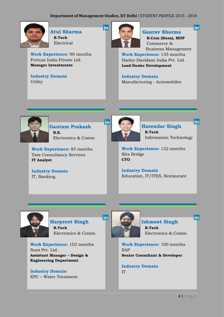in



 **Atul Sharma B.Tech** Electrical

**Work Experience:** 90 months Fortum India Private Ltd. **Manager Investments**

**Industry Domain Utility** 



# **Gaurav Sharma**

in

 $|{\sf in}|$ 

linl

 **B.Com (Hons), MDP** Commerce & Business Management

**Work Experience:** 135 months Harley-Davidson India Pvt. Ltd. **Lead-Dealer Development**

**Industry Domain** Manufacturing - Automobiles



 **Gautam Prakash B.E.** Electronics & Comm

**Work Experience:** 85 months Tata Consultancy Services **IT Analyst**

**Industry Domain** IT, Banking



 **Harendar Singh B.Tech** Information Technology

**Work Experience:** 122 months Bits Bridge **CTO**

**Industry Domain** Education, IT/ITES, Restaurant



# **in Harpreet Singh**

 **B.Tech** Electronics & Comm.

**Work Experience:** 102 months Suez Pvt. Ltd. **Assistant Manager – Design & Engineering Department**

**Industry Domain** EPC – Water Treatment



# **Ishmeet Singh**

 **B.Tech** Electronics & Comm.

**Work Experience:** 100 months SAP **Senior Consultant & Developer**

**Industry Domain** IT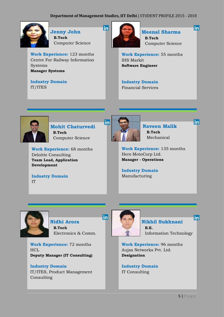in



 **Jenny John B.Tech** Computer Science

**Work Experience:** 123 months Centre For Railway Information Systems **Manager Systems**

**Industry Domain** IT/ITES



 **Meenal Sharma B.Tech** Computer Science in

linl

linl

**Work Experience:** 55 months IHS Markit **Software Engineer**

**Industry Domain** Financial Services



 **Mohit Chaturvedi B.Tech** Computer Science

**Work Experience:** 68 months Deloitte Consulting **Team Lead, Application Development**

**Industry Domain** IT



 **Naveen Malik B.Tech** Mechanical

**Work Experience:** 135 months Hero MotoCorp Ltd. **Manager - Operations**

**Industry Domain** Manufacturing



 **Nidhi Arora B.Tech** Electronics & Comm.

**Work Experience:** 72 months **HCL Deputy Manager (IT Consulting)**

**Industry Domain** IT/ITES, Product Management Consulting



in

 **Nikhil Sukhnani B.E.**

Information Technology

**Work Experience:** 96 months Aujas Networks Pvt. Ltd. **Designation**

**Industry Domain** IT Consulting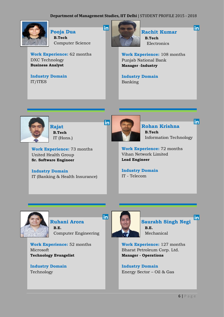in



 **Pooja Dua B.Tech** Computer Science

**Work Experience:** 62 months DXC Technology **Business Analyst**

**Industry Domain** IT/ITES



 **Rachit Kumar B.Tech** Electronics

linl

 $\mathsf{in}$ 

**Work Experience:** 108 months Punjab National Bank **Manager -Industry**

**Industry Domain** Banking



 **Rajat B.Tech** IT (Hons.)

**Work Experience:** 73 months United Health Group **Sr. Software Engineer**

**Industry Domain** IT (Banking & Health Insurance)



 **Rohan Krishna B.Tech** Information Technology

**Work Experience:** 72 months Vihan Network Limited **Lead Engineer**

**Industry Domain** IT - Telecom



 **Ruhani Arora B.E.** Computer Engineering

**Work Experience:** 52 months Microsoft **Technology Evangelist**

**Industry Domain** Technology



 $|<sub>in</sub>|$ 

inl **Saurabh Singh Negi B.E.** Mechanical

**Work Experience:** 127 months Bharat Petroleum Corp. Ltd. **Manager - Operations**

**Industry Domain** Energy Sector – Oil & Gas